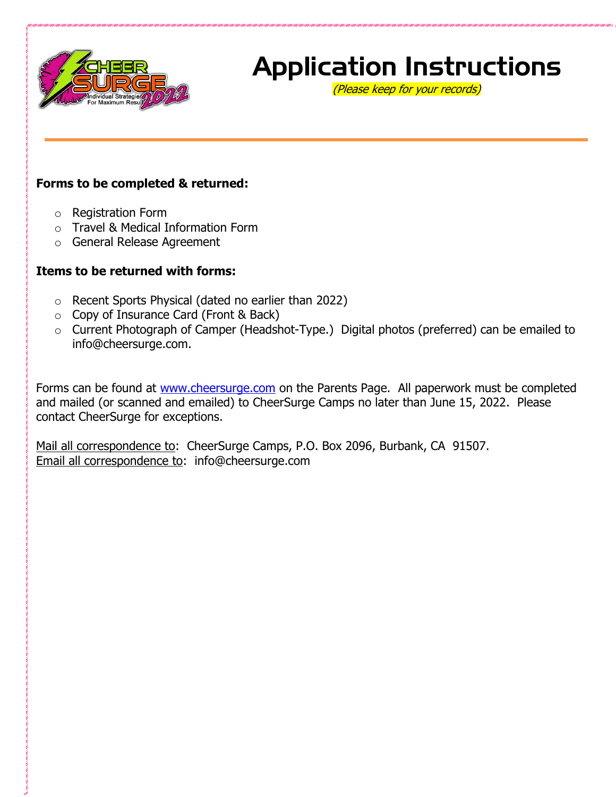

### Application Instructions

(Please keep for your records)

#### **Forms to be completed & returned:**

- o Registration Form
- o Travel & Medical Information Form
- o General Release Agreement

#### **Items to be returned with forms:**

- o Recent Sports Physical (dated no earlier than 2022)
- o Copy of Insurance Card (Front & Back)
- o Current Photograph of Camper (Headshot-Type.) Digital photos (preferred) can be emailed to info@cheersurge.com.

Forms can be found at [www.cheersurge.com](http://www.cheersurge.com/) on the Parents Page. All paperwork must be completed and mailed (or scanned and emailed) to CheerSurge Camps no later than June 15, 2022. Please contact CheerSurge for exceptions.

Mail all correspondence to: CheerSurge Camps, P.O. Box 2096, Burbank, CA 91507. Email all correspondence to: info@cheersurge.com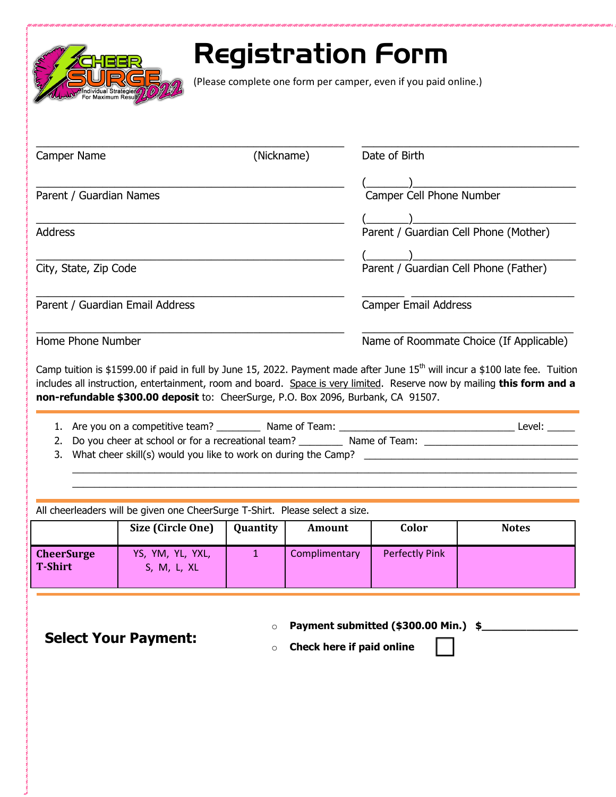

# Registration Form

(Please complete one form per camper, even if you paid online.)

| Camper Name                     | (Nickname) | Date of Birth                           |
|---------------------------------|------------|-----------------------------------------|
|                                 |            |                                         |
| Parent / Guardian Names         |            | Camper Cell Phone Number                |
| <b>Address</b>                  |            | Parent / Guardian Cell Phone (Mother)   |
| City, State, Zip Code           |            | Parent / Guardian Cell Phone (Father)   |
|                                 |            |                                         |
| Parent / Guardian Email Address |            | <b>Camper Email Address</b>             |
| Home Phone Number               |            | Name of Roommate Choice (If Applicable) |

Camp tuition is \$1599.00 if paid in full by June 15, 2022. Payment made after June 15<sup>th</sup> will incur a \$100 late fee. Tuition includes all instruction, entertainment, room and board. Space is very limited. Reserve now by mailing **this form and a non-refundable \$300.00 deposit** to: CheerSurge, P.O. Box 2096, Burbank, CA 91507.

|    | 1. Are you on a competitive team? |  |  |  |  | Name of Team: |  |  | .evel: |  |
|----|-----------------------------------|--|--|--|--|---------------|--|--|--------|--|
| __ |                                   |  |  |  |  |               |  |  |        |  |

2. Do you cheer at school or for a recreational team? \_\_\_\_\_\_\_\_\_\_ Name of Team: \_\_\_\_\_\_\_\_\_\_\_\_\_\_\_\_\_\_\_\_\_ 3. What cheer skill(s) would you like to work on during the Camp?

 $\_$  ,  $\_$  ,  $\_$  ,  $\_$  ,  $\_$  ,  $\_$  ,  $\_$  ,  $\_$  ,  $\_$  ,  $\_$  ,  $\_$  ,  $\_$  ,  $\_$  ,  $\_$  ,  $\_$  ,  $\_$  ,  $\_$  ,  $\_$  ,  $\_$  ,  $\_$  ,  $\_$  ,  $\_$  ,  $\_$  ,  $\_$  ,  $\_$  ,  $\_$  ,  $\_$  ,  $\_$  ,  $\_$  ,  $\_$  ,  $\_$  ,  $\_$  ,  $\_$  ,  $\_$  ,  $\_$  ,  $\_$  ,  $\_$  ,  $\_$  ,  $\_$  ,  $\_$  ,  $\_$  ,  $\_$  ,  $\_$  ,  $\_$  ,  $\_$  ,  $\_$  ,  $\_$  ,  $\_$  ,  $\_$  ,  $\_$  ,  $\_$  ,  $\_$  ,  $\_$  ,  $\_$  ,  $\_$  ,  $\_$  ,  $\_$  ,  $\_$  ,  $\_$  ,  $\_$  ,  $\_$  ,  $\_$  ,  $\_$  ,  $\_$  ,  $\_$  ,  $\_$  ,  $\_$  ,  $\_$  ,  $\_$  ,  $\_$  ,  $\_$  ,  $\_$  ,  $\_$  ,  $\_$  ,

All cheerleaders will be given one CheerSurge T-Shirt. Please select a size.

|                                     | Size (Circle One)               | Quantity | Amount        | Color                 | <b>Notes</b> |
|-------------------------------------|---------------------------------|----------|---------------|-----------------------|--------------|
| <b>CheerSurge</b><br><b>T-Shirt</b> | YS, YM, YL, YXL,<br>S, M, L, XL |          | Complimentary | <b>Perfectly Pink</b> |              |

**Select Your Payment:**

- o **Payment submitted (\$300.00 Min.) \$\_\_\_\_\_\_\_\_\_\_\_\_\_\_\_**
- o **Check here if paid online**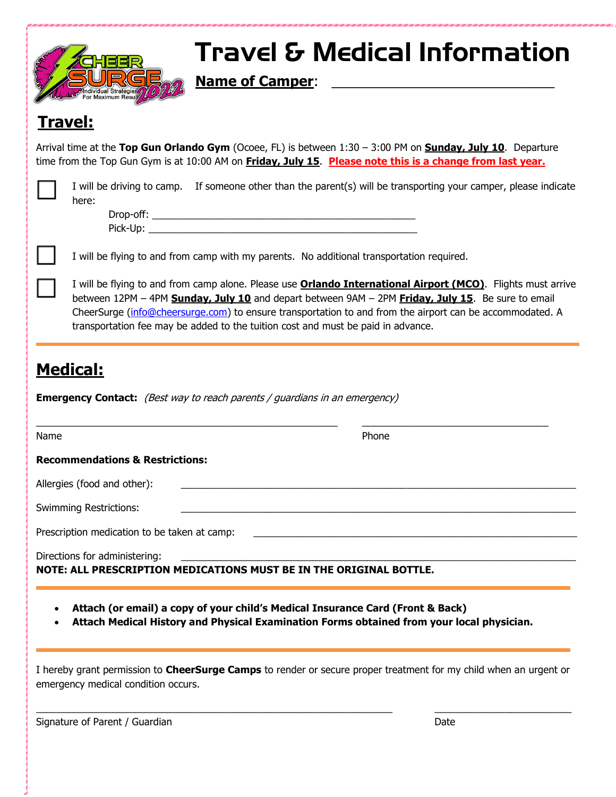

## Travel & Medical Information

**Name of Camper:** 

### **Travel:**

Arrival time at the **Top Gun Orlando Gym** (Ocoee, FL) is between 1:30 – 3:00 PM on **Sunday, July 10**. Departure time from the Top Gun Gym is at 10:00 AM on **Friday, July 15**. **Please note this is a change from last year.**

|      | I will be driving to camp. If someone other than the parent(s) will be transporting your camper, please indicate<br>here:                                                                                                                                                                                                                                                                                                 |
|------|---------------------------------------------------------------------------------------------------------------------------------------------------------------------------------------------------------------------------------------------------------------------------------------------------------------------------------------------------------------------------------------------------------------------------|
|      |                                                                                                                                                                                                                                                                                                                                                                                                                           |
|      | I will be flying to and from camp with my parents. No additional transportation required.                                                                                                                                                                                                                                                                                                                                 |
|      | I will be flying to and from camp alone. Please use <b>Orlando International Airport (MCO)</b> . Flights must arrive<br>between 12PM - 4PM Sunday, July 10 and depart between 9AM - 2PM Friday, July 15. Be sure to email<br>CheerSurge (info@cheersurge.com) to ensure transportation to and from the airport can be accommodated. A<br>transportation fee may be added to the tuition cost and must be paid in advance. |
|      | <b>Medical:</b>                                                                                                                                                                                                                                                                                                                                                                                                           |
|      |                                                                                                                                                                                                                                                                                                                                                                                                                           |
|      | <b>Emergency Contact:</b> (Best way to reach parents / guardians in an emergency)                                                                                                                                                                                                                                                                                                                                         |
| Name | Phone                                                                                                                                                                                                                                                                                                                                                                                                                     |
|      | <b>Recommendations &amp; Restrictions:</b>                                                                                                                                                                                                                                                                                                                                                                                |
|      | Allergies (food and other):                                                                                                                                                                                                                                                                                                                                                                                               |
|      | <b>Swimming Restrictions:</b>                                                                                                                                                                                                                                                                                                                                                                                             |
|      | Prescription medication to be taken at camp:                                                                                                                                                                                                                                                                                                                                                                              |
|      | Directions for administering:<br>NOTE: ALL PRESCRIPTION MEDICATIONS MUST BE IN THE ORIGINAL BOTTLE.                                                                                                                                                                                                                                                                                                                       |

I hereby grant permission to **CheerSurge Camps** to render or secure proper treatment for my child when an urgent or emergency medical condition occurs.

 $\_$  ,  $\_$  ,  $\_$  ,  $\_$  ,  $\_$  ,  $\_$  ,  $\_$  ,  $\_$  ,  $\_$  ,  $\_$  ,  $\_$  ,  $\_$  ,  $\_$  ,  $\_$  ,  $\_$  ,  $\_$  ,  $\_$  ,  $\_$  ,  $\_$  ,  $\_$  ,  $\_$  ,  $\_$  ,  $\_$  ,  $\_$  ,  $\_$  ,  $\_$  ,  $\_$  ,  $\_$  ,  $\_$  ,  $\_$  ,  $\_$  ,  $\_$  ,  $\_$  ,  $\_$  ,  $\_$  ,  $\_$  ,  $\_$  ,

Signature of Parent / Guardian Date